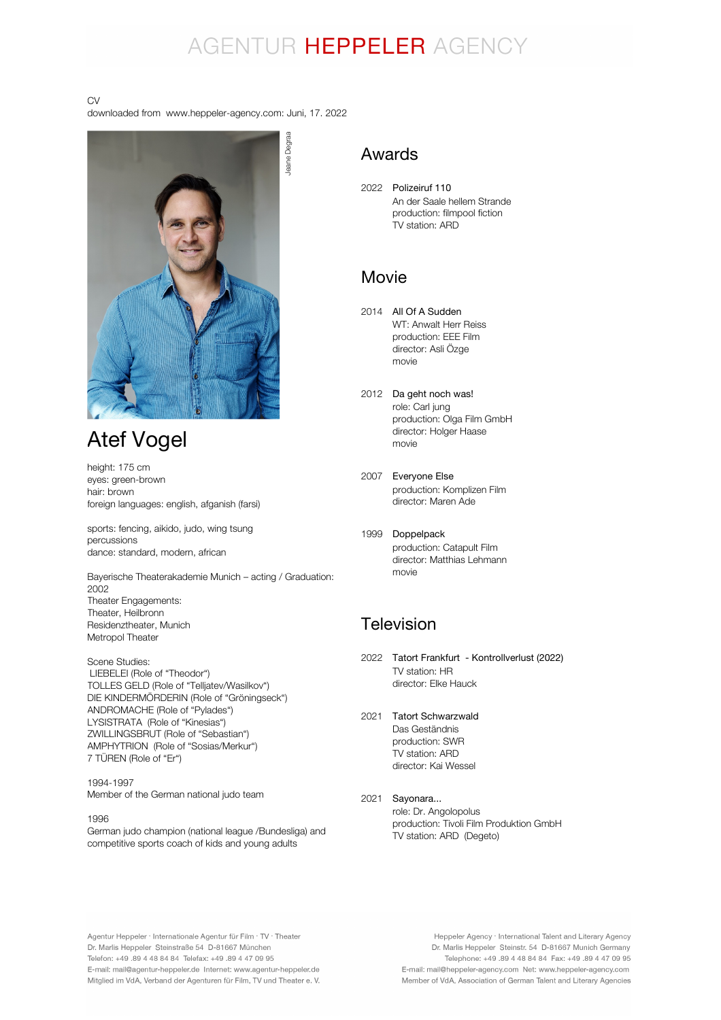## AGENTUR HEPPELER AGENCY

#### CV

downloaded from www.heppeler-agency.com: Juni, 17. 2022



## Atef Vogel

height: 175 cm eyes: green-brown hair: brown foreign languages: english, afganish (farsi)

sports: fencing, aikido, judo, wing tsung percussions dance: standard, modern, african

Bayerische Theaterakademie Munich – acting / Graduation: 2002 Theater Engagements: Theater, Heilbronn Residenztheater, Munich Metropol Theater

Scene Studies: LIEBELEI (Role of "Theodor") TOLLES GELD (Role of "Telljatev/Wasilkov") DIE KINDERMÖRDERIN (Role of "Gröningseck") ANDROMACHE (Role of "Pylades") LYSISTRATA (Role of "Kinesias") ZWILLINGSBRUT (Role of "Sebastian") AMPHYTRION (Role of "Sosias/Merkur") 7 TÜREN (Role of "Er")

1994-1997 Member of the German national judo team

1996

German judo champion (national league /Bundesliga) and competitive sports coach of kids and young adults

### Awards

2022 Polizeiruf 110 An der Saale hellem Strande production: filmpool fiction TV station: ARD

### Movie

- 2014 All Of A Sudden WT: Anwalt Herr Reiss production: EEE Film director: Asli Özge movie
- 2012 Da geht noch was! role: Carl jung production: Olga Film GmbH director: Holger Haase movie
- 2007 Everyone Else production: Komplizen Film director: Maren Ade
- 1999 Doppelpack production: Catapult Film director: Matthias Lehmann movie

## **Television**

- 2022 Tatort Frankfurt Kontrollverlust (2022) TV station: HR director: Elke Hauck
- 2021 Tatort Schwarzwald Das Geständnis production: SWR TV station: ARD director: Kai Wessel

#### 2021 Sayonara...

role: Dr. Angolopolus production: Tivoli Film Produktion GmbH TV station: ARD (Degeto)

Agentur Heppeler · Internationale Agentur für Film · TV · Theater Dr. Marlis Heppeler Steinstraße 54 D-81667 München Telefon: +49.89 4 48 84 84 Telefax: +49.89 4 47 09 95 E-mail: mail@agentur-heppeler.de Internet: www.agentur-heppeler.de Mitglied im VdA, Verband der Agenturen für Film, TV und Theater e. V.

Heppeler Agency · International Talent and Literary Agency Dr. Marlis Heppeler Steinstr. 54 D-81667 Munich Germany Telephone: +49 .89 4 48 84 84 Fax: +49 .89 4 47 09 95 E-mail: mail@heppeler-agency.com Net: www.heppeler-agency.com Member of VdA, Association of German Talent and Literary Agencies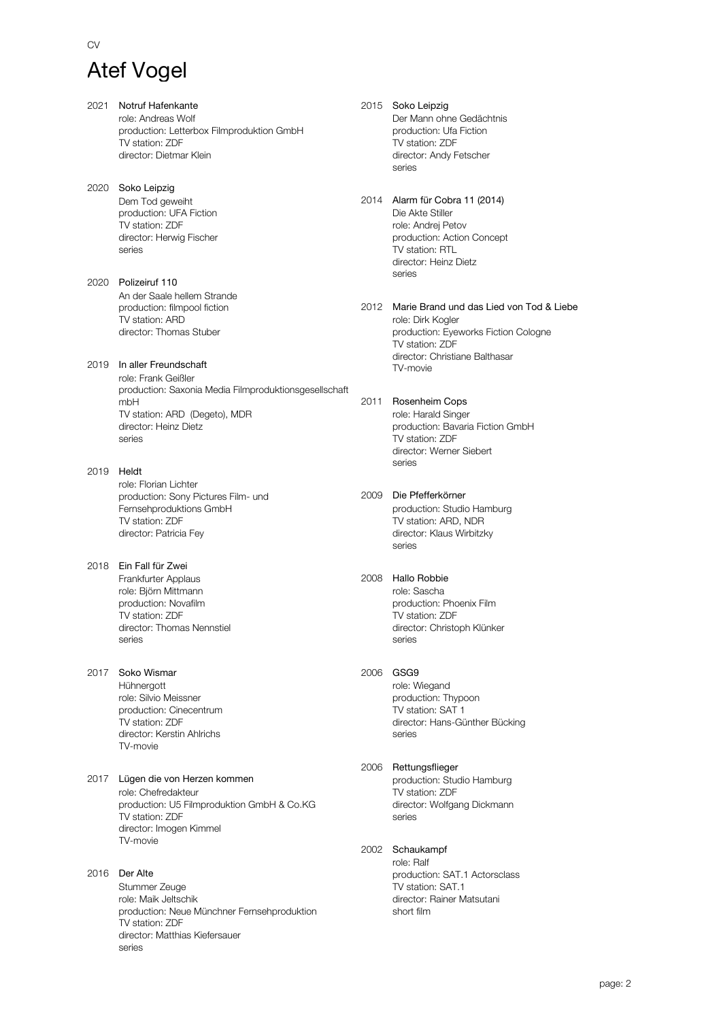### CV

## Atef Vogel

- 2021 Notruf Hafenkante role: Andreas Wolf production: Letterbox Filmproduktion GmbH TV station: ZDF director: Dietmar Klein
- 2020 Soko Leipzig Dem Tod geweiht production: UFA Fiction TV station: ZDF director: Herwig Fischer series
- 2020 Polizeiruf 110 An der Saale hellem Strande production: filmpool fiction TV station: ARD director: Thomas Stuber

2019 In aller Freundschaft role: Frank Geißler production: Saxonia Media Filmproduktionsgesellschaft mbH TV station: ARD (Degeto), MDR director: Heinz Dietz series

- 2019 Heldt role: Florian Lichter production: Sony Pictures Film- und Fernsehproduktions GmbH TV station: ZDF director: Patricia Fey
- 2018 Ein Fall für Zwei Frankfurter Applaus role: Björn Mittmann production: Novafilm TV station: ZDF director: Thomas Nennstiel series
- 2017 Soko Wismar Hühnergott role: Silvio Meissner production: Cinecentrum TV station: ZDF director: Kerstin Ahlrichs TV-movie
- 2017 Lügen die von Herzen kommen role: Chefredakteur production: U5 Filmproduktion GmbH & Co.KG TV station: ZDF director: Imogen Kimmel TV-movie

#### 2016 Der Alte Stummer Zeuge role: Maik Jeltschik production: Neue Münchner Fernsehproduktion TV station: ZDF director: Matthias Kiefersauer series

2015 Soko Leipzig Der Mann ohne Gedächtnis production: Ufa Fiction TV station: ZDF director: Andy Fetscher series

- 2014 Alarm für Cobra 11 (2014) Die Akte Stiller role: Andrej Petov production: Action Concept TV station: RTL director: Heinz Dietz series
- 2012 Marie Brand und das Lied von Tod & Liebe role: Dirk Kogler production: Eyeworks Fiction Cologne TV station: ZDF director: Christiane Balthasar TV-movie
- 2011 Rosenheim Cops role: Harald Singer production: Bavaria Fiction GmbH TV station: ZDF director: Werner Siebert series
- 2009 Die Pfefferkörner

production: Studio Hamburg TV station: ARD, NDR director: Klaus Wirbitzky series

#### 2008 Hallo Robbie

role: Sascha production: Phoenix Film TV station: ZDF director: Christoph Klünker series

#### 2006 GSG9

role: Wiegand production: Thypoon TV station: SAT 1 director: Hans-Günther Bücking series

#### 2006 Rettungsflieger

production: Studio Hamburg TV station: ZDF director: Wolfgang Dickmann series

#### 2002 Schaukampf

role: Ralf production: SAT.1 Actorsclass TV station: SAT.1 director: Rainer Matsutani short film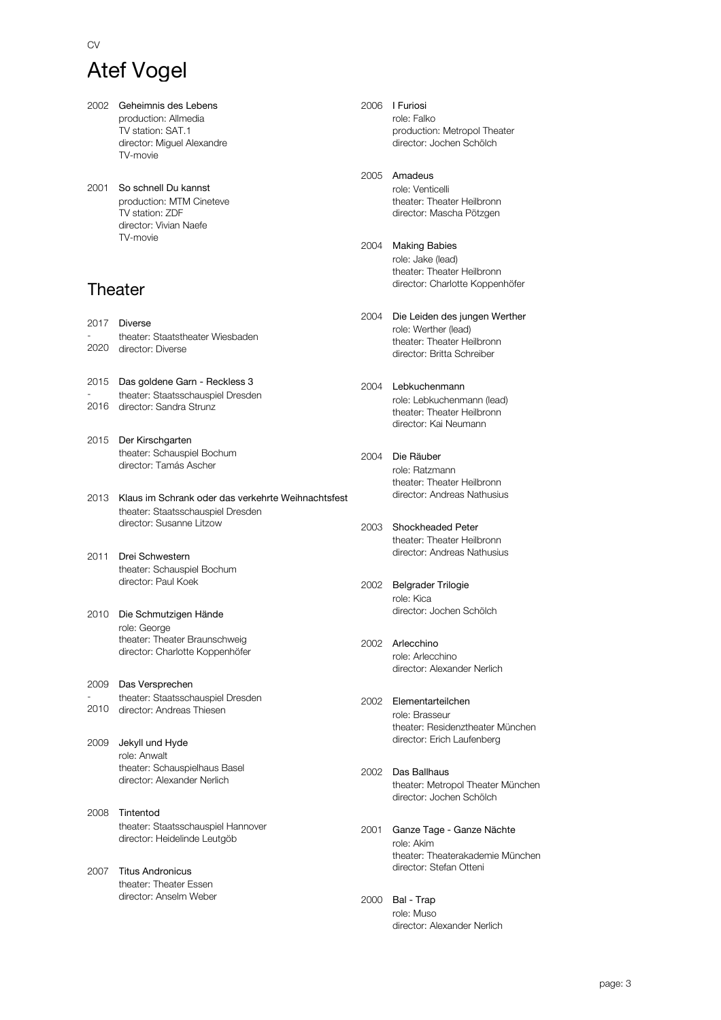# Atef Vogel

CV

- 2002 Geheimnis des Lebens production: Allmedia TV station: SAT.1 director: Miguel Alexandre TV-movie
- 2001 So schnell Du kannst production: MTM Cineteve TV station: ZDF director: Vivian Naefe TV-movie

## **Theater**

- 2017 Diverse - 2020 director: Diverse theater: Staatstheater Wiesbaden
- 2015 Das goldene Garn Reckless 3 theater: Staatsschauspiel Dresden
- 2016 director: Sandra Strunz
- 2015 Der Kirschgarten theater: Schauspiel Bochum director: Tamás Ascher
- 2013 Klaus im Schrank oder das verkehrte Weihnachtsfest theater: Staatsschauspiel Dresden director: Susanne Litzow
- 2011 Drei Schwestern theater: Schauspiel Bochum director: Paul Koek
- 2010 Die Schmutzigen Hände role: George theater: Theater Braunschweig director: Charlotte Koppenhöfer
- 2009 Das Versprechen - 2010 director: Andreas Thiesen theater: Staatsschauspiel Dresden
- 2009 Jekyll und Hyde role: Anwalt theater: Schauspielhaus Basel director: Alexander Nerlich
- 2008 Tintentod theater: Staatsschauspiel Hannover director: Heidelinde Leutgöb
- 2007 Titus Andronicus theater: Theater Essen director: Anselm Weber

2006 I Furiosi role: Falko production: Metropol Theater director: Jochen Schölch

#### 2005 Amadeus

role: Venticelli theater: Theater Heilbronn director: Mascha Pötzgen

#### 2004 Making Babies

role: Jake (lead) theater: Theater Heilbronn director: Charlotte Koppenhöfer

- 2004 Die Leiden des jungen Werther role: Werther (lead) theater: Theater Heilbronn director: Britta Schreiber
- 2004 Lebkuchenmann role: Lebkuchenmann (lead) theater: Theater Heilbronn director: Kai Neumann
- 2004 Die Räuber role: Ratzmann theater: Theater Heilbronn director: Andreas Nathusius
- 2003 Shockheaded Peter theater: Theater Heilbronn director: Andreas Nathusius
- 2002 Belgrader Trilogie role: Kica director: Jochen Schölch
- 2002 Arlecchino role: Arlecchino director: Alexander Nerlich
- 2002 Elementarteilchen role: Brasseur theater: Residenztheater München director: Erich Laufenberg
- 2002 Das Ballhaus theater: Metropol Theater München director: Jochen Schölch
- 2001 Ganze Tage Ganze Nächte role: Akim theater: Theaterakademie München director: Stefan Otteni
- 2000 Bal Trap role: Muso director: Alexander Nerlich